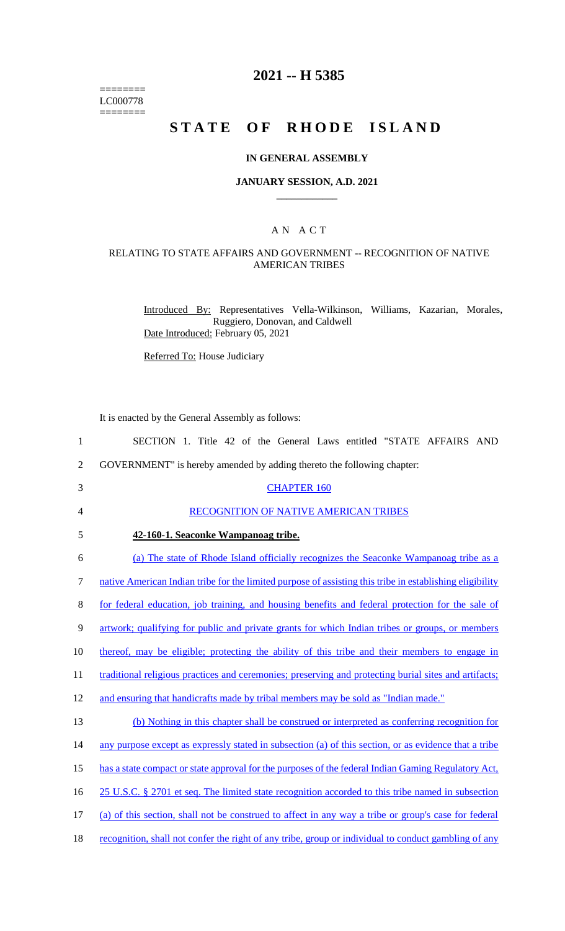======== LC000778 ========

# **2021 -- H 5385**

# **STATE OF RHODE ISLAND**

#### **IN GENERAL ASSEMBLY**

#### **JANUARY SESSION, A.D. 2021 \_\_\_\_\_\_\_\_\_\_\_\_**

### A N A C T

## RELATING TO STATE AFFAIRS AND GOVERNMENT -- RECOGNITION OF NATIVE AMERICAN TRIBES

Introduced By: Representatives Vella-Wilkinson, Williams, Kazarian, Morales, Ruggiero, Donovan, and Caldwell Date Introduced: February 05, 2021

Referred To: House Judiciary

It is enacted by the General Assembly as follows:

| $\mathbf{1}$   | SECTION 1. Title 42 of the General Laws entitled "STATE AFFAIRS AND                                      |
|----------------|----------------------------------------------------------------------------------------------------------|
| $\overline{2}$ | GOVERNMENT" is hereby amended by adding thereto the following chapter:                                   |
| 3              | <b>CHAPTER 160</b>                                                                                       |
| $\overline{4}$ | RECOGNITION OF NATIVE AMERICAN TRIBES                                                                    |
| 5              | 42-160-1. Seaconke Wampanoag tribe.                                                                      |
| 6              | (a) The state of Rhode Island officially recognizes the Seaconke Wampanoag tribe as a                    |
| $\tau$         | native American Indian tribe for the limited purpose of assisting this tribe in establishing eligibility |
| 8              | for federal education, job training, and housing benefits and federal protection for the sale of         |
| 9              | artwork; qualifying for public and private grants for which Indian tribes or groups, or members          |
| 10             | thereof, may be eligible; protecting the ability of this tribe and their members to engage in            |
| 11             | traditional religious practices and ceremonies; preserving and protecting burial sites and artifacts;    |
| 12             | and ensuring that handicrafts made by tribal members may be sold as "Indian made."                       |
| 13             | (b) Nothing in this chapter shall be construed or interpreted as conferring recognition for              |
| 14             | any purpose except as expressly stated in subsection (a) of this section, or as evidence that a tribe    |
| 15             | has a state compact or state approval for the purposes of the federal Indian Gaming Regulatory Act,      |
| 16             | 25 U.S.C. § 2701 et seq. The limited state recognition accorded to this tribe named in subsection        |
| 17             | (a) of this section, shall not be construed to affect in any way a tribe or group's case for federal     |
| 18             | recognition, shall not confer the right of any tribe, group or individual to conduct gambling of any     |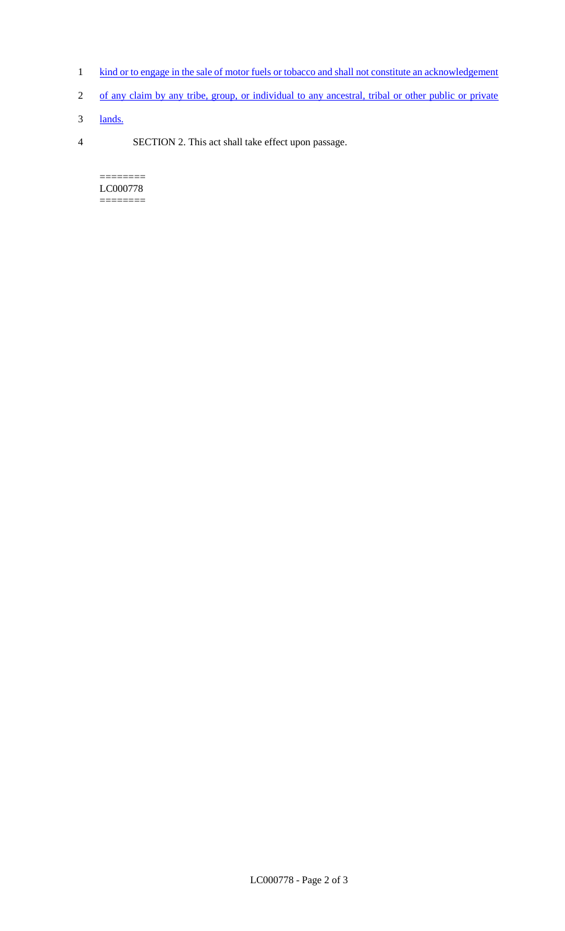- 1 kind or to engage in the sale of motor fuels or tobacco and shall not constitute an acknowledgement
- 2 of any claim by any tribe, group, or individual to any ancestral, tribal or other public or private
- 3 lands.
- 4 SECTION 2. This act shall take effect upon passage.

======== LC000778 ========